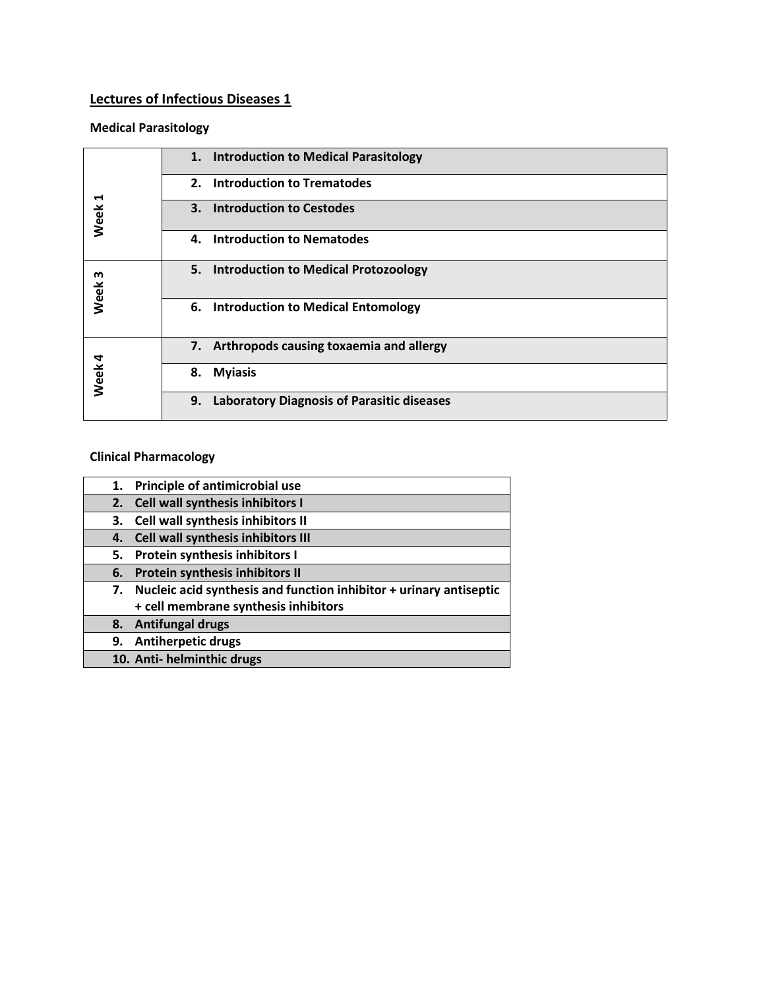## **Lectures of Infectious Diseases 1**

## **Medical Parasitology**

| ↤<br>Week | 1. Introduction to Medical Parasitology                 |
|-----------|---------------------------------------------------------|
|           | <b>Introduction to Trematodes</b><br>2.                 |
|           | <b>Introduction to Cestodes</b><br>3.                   |
|           | <b>Introduction to Nematodes</b><br>4.                  |
| m<br>Week | 5. Introduction to Medical Protozoology                 |
|           | 6. Introduction to Medical Entomology                   |
| Week 4    | 7. Arthropods causing toxaemia and allergy              |
|           | <b>Myiasis</b><br>8.                                    |
|           | 9.<br><b>Laboratory Diagnosis of Parasitic diseases</b> |

## **Clinical Pharmacology**

| 1. | Principle of antimicrobial use                                     |
|----|--------------------------------------------------------------------|
|    | 2. Cell wall synthesis inhibitors I                                |
| 3. | Cell wall synthesis inhibitors II                                  |
| 4. | Cell wall synthesis inhibitors III                                 |
| 5. | Protein synthesis inhibitors I                                     |
| 6. | Protein synthesis inhibitors II                                    |
| 7. | Nucleic acid synthesis and function inhibitor + urinary antiseptic |
|    | + cell membrane synthesis inhibitors                               |
| 8. | <b>Antifungal drugs</b>                                            |
| 9. | Antiherpetic drugs                                                 |
|    | 10. Anti- helminthic drugs                                         |